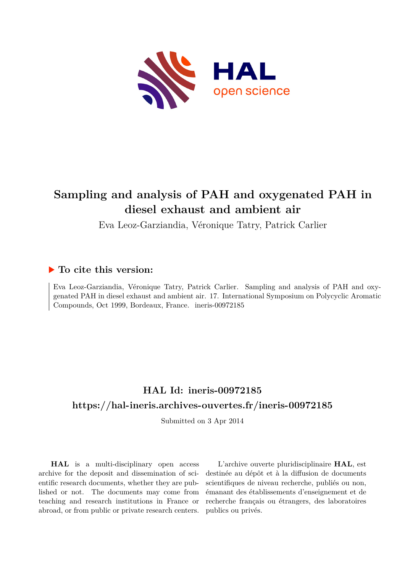

# **Sampling and analysis of PAH and oxygenated PAH in diesel exhaust and ambient air**

Eva Leoz-Garziandia, Véronique Tatry, Patrick Carlier

## **To cite this version:**

Eva Leoz-Garziandia, Véronique Tatry, Patrick Carlier. Sampling and analysis of PAH and oxygenated PAH in diesel exhaust and ambient air. 17. International Symposium on Polycyclic Aromatic Compounds, Oct 1999, Bordeaux, France. ineris-00972185

# **HAL Id: ineris-00972185 <https://hal-ineris.archives-ouvertes.fr/ineris-00972185>**

Submitted on 3 Apr 2014

**HAL** is a multi-disciplinary open access archive for the deposit and dissemination of scientific research documents, whether they are published or not. The documents may come from teaching and research institutions in France or abroad, or from public or private research centers.

L'archive ouverte pluridisciplinaire **HAL**, est destinée au dépôt et à la diffusion de documents scientifiques de niveau recherche, publiés ou non, émanant des établissements d'enseignement et de recherche français ou étrangers, des laboratoires publics ou privés.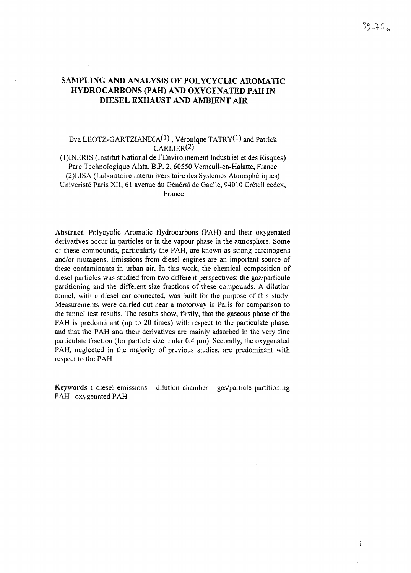## SAMPLING AND ANALYSIS OF POLYCYCLIC AROMATIC HYDROCARBONS (PAH) AND OXYGENATED PAH IN DIESEL EXHAUST AND AMBIENT AIR

## Eva LEOTZ-GARTZIANDIA<sup>(1)</sup>, Véronique TATRY<sup>(1)</sup> and Patrick CARLIER(2)

(l)INERIS (Institut National de l'Environnement Industriel et des Risques) Parc Technologique Alata, B.P. 2, 60550 Verneuil-en-Halatte, France (2)LISA (Laboratoire Interuniversitaire des Systèmes Atmosphériques) Univeristé Paris XII, 61 avenue du Général de Gaulle, 94010 Créteil cedex, France

**Abstract.** Polycyclic Aromatic Hydrocarbons (PAH) and their oxygenated derivatives occur in particles or in the vapour phase in the atmosphere. Some of these compounds, particularly the PAH, are known as strong carcinogens and/or mutagens. Emissions from diesel engines are an important source of these contaminants in urban air. In this work, the chemical composition of diesel particles was studied from two different perspectives: the gaz/particule partitioning and the different size fractions of these compounds. A dilution tunnel, with a diesel car connected, was built for the purpose of this study. Measurements were carried out near a motorway in Paris for comparison to the tunnel test results. The results show, firstly, that the gaseous phase of the PAH is predominant (up to 20 times) with respect to the particulate phase, and that the PAH and their derivatives are mainly adsorbed in the very fine particulate fraction (for particle size under 0.4  $\mu$ m). Secondly, the oxygenated PAH, neglected in the majority of previous studies, are predominant with respect to the PAH.

Keywords : diesel emissions dilution chamber gas/particle partitioning PAH oxygenated PAH

 $99 - 75a$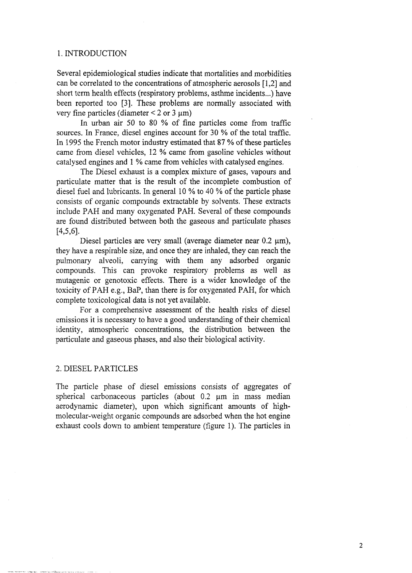#### 1. INTRODUCTION

Several epidemiological studies indicate that mortalities and morbidities can be correlated to the concentrations of atmospheric aerosols [1,2] and short term health effects (respiratory problems, asthme incidents...) have been reported too [3]. These problems are normally associated with very fine particles (diameter  $\leq 2$  or 3 µm)

In urban air 50 to 80 % of fine particles come from traffic sources. In France, diesel engines account for 30 % of the total traffic. In 1995 the French motor industry estimated that 87 % of these particles came from diesel vehicles, 12 % came from gasoline vehicles without catalysed engines and 1 % came from vehicles with catalysed engines.

The Diesel exhaust is a complex mixture of gases, vapours and particulate matter that is the result of the incomplete combustion of diesel fuel and lubricants. In general 10 % to 40 % of the particle phase consists of organic compounds extractable by solvents. These extracts include PAH and many oxygenated PAH. Several of these compounds are found distributed between both the gaseous and particulate phases [4,5,6].

Diesel particles are very small (average diameter near  $0.2 \mu m$ ), they have a respirable size, and once they are inhaled, they can reach the pulmonary alveoli, carrying with them any adsorbed organic compounds. This can provoke respiratory problems as well as mutagenic or genotoxic effects. There is a wider knowledge of the toxicity of PAH e.g., BaP, than there is for oxygenated PAH, for which complete toxicological data is not yet available.

For a comprehensive assessment of the health risks of diesel emissions it is necessary to have a good understanding of their chemical identity, atmospheric concentrations, the distribution between the particulate and gaseous phases, and also their biological activity.

#### 2. DIESEL PARTICLES

The particle phase of diesel emissions consists of aggregates of spherical carbonaceous particles (about 0.2 um in mass median aerodynamic diameter), upon which significant amounts of highmolecular-weight organic compounds are adsorbed when the hot engine exhaust cools down to ambient temperature (figure 1). The particles in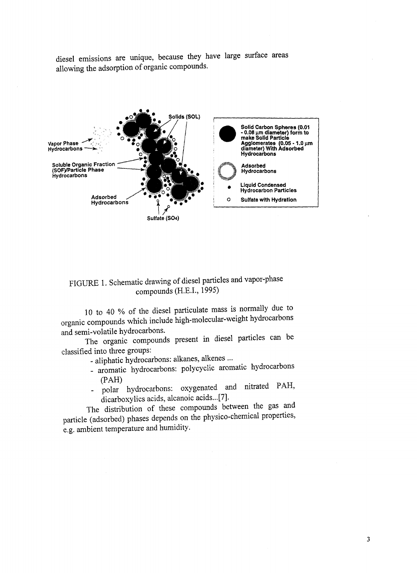diesel emissions are unique, because they have large surface areas allowing the adsorption of organic compounds.



# FIGURE 1. Schematic drawing of diesel particles and vapor-phase compounds (H.E.I., 1995)

10 to 40 % of the diesel particulate mass is normally due to organic compounds which include high-molecular-weight hydrocarbons and semi-volatile hydrocarbons.

The organic compounds present in diesel particles can be classified into three groups:

- aliphatic hydrocarbons: alkanes, alkenes ...

- aromatic hydrocarbons: polycyclic aromatic hydrocarbons (PAH)
- polar hydrocarbons: oxygenated and nitrated PAH,

dicarboxylics acids, alcanoic acids...[7].<br>The distribution of these compounds between the gas and The distribution of these compounds between the gas and particle (adsorbed) phases depends on the physico-chemical properties, e.g. ambient temperature and humidity.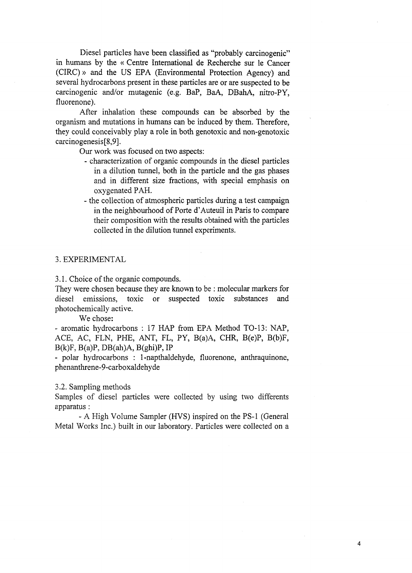Diesel particles have been classified as "probably carcinogenic" in humans by the « Centre International de Recherche sur le Cancer (CIRC) » and the US EPA (Environmental Protection Agency) and several hydrocarbons present in these particles are or are suspected to be carcinogenic and/or mutagenic (e.g. BaP, BaA, DBahA, nitro-PY, fluorenone).

After inhalation these compounds can be absorbed by the organism and mutations in humans can be induced by them. Therefore, they could conceivably play a role in both genotoxic and non-genotoxic carcinogenesis [8,9].

Our work was focused on two aspects:

- characterization of organic compounds in the diesel particles in a dilution tunnel, both in the particle and the gas phases and in different size fractions, with special emphasis on oxygenated PAH.
- the collection of atmospheric particles during a test campaign in the neighbourhood of Porte d'Auteuil in Paris to compare their composition with the results obtained with the particles collected in the dilution tunnel experiments.

#### 3. EXPERIMENTAL

3.1. Choice of the organic compounds.

They were chosen because they are known to be : molecular markers for diesel emissions, toxic or suspected toxic substances and photochemically active.

We chose:

- aromatic hydrocarbons : 17 HAP from EPA Method TO-13: NAP, ACE, AC, FLN, PHE, ANT, FL, PY, B(a)A, CHR, B(e)P, B(b)F,  $B(k)F$ ,  $B(a)P$ ,  $DB(ah)A$ ,  $B(ghi)P$ ,  $IP$ 

- polar hydrocarbons : 1-napthaldehyde, fluorenone, anthraquinone, phenanthrene-9-carboxaldehyde

### 3.2. Sampling methods

Samples of diesel particles were collected by using two différents apparatus :

- A High Volume Sampler (HVS) inspired on the PS-1 (General Metal Works Inc.) built in our laboratory. Particles were collected on a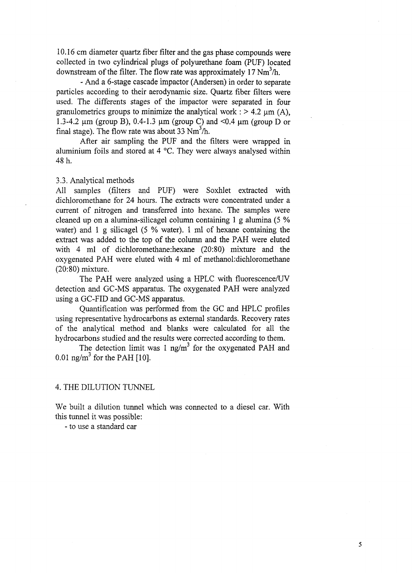10.16 cm diameter quartz fiber filter and the gas phase compounds were collected in two cylindrical plugs of polyurethane foam (PUF) located downstream of the filter. The flow rate was approximately 17  $Nm<sup>3</sup>/h$ .

- And a 6-stage cascade impactor (Andersen) in order to separate particles according to their aerodynamic size. Quartz fiber filters were used. The différents stages of the impactor were separated in four granulometrics groups to minimize the analytical work :  $> 4.2 \mu m$  (A), 1.3-4.2  $\mu$ m (group B), 0.4-1.3  $\mu$ m (group C) and <0.4  $\mu$ m (group D or final stage). The flow rate was about 33  $Nm^3/h$ .

After air sampling the PUF and the filters were wrapped in aluminium foils and stored at 4 °C. They were always analysed within 48 h.

#### 3.3. Analytical methods

All samples (filters and PUF) were Soxhlet extracted with dichloromethane for 24 hours. The extracts were concentrated under a current of nitrogen and transferred into hexane. The samples were cleaned up on a alumina-silicagel column containing 1 g alumina (5 % water) and 1 g silicagel (5 % water). 1 ml of hexane containing the extract was added to the top of the column and the PAH were eluted with 4 ml of dichloromethane:hexane (20:80) mixture and the oxygenated PAH were eluted with 4 ml of methanol: dichloromethane (20:80) mixture.

The PAH were analyzed using a HPLC with fluorescence/UV detection and GC-MS apparatus. The oxygenated PAH were analyzed using a GC-FID and GC-MS apparatus.

Quantification was performed from the GC and HPLC profiles using representative hydrocarbons as external standards. Recovery rates of the analytical method and blanks were calculated for all the hydrocarbons studied and the results were corrected according to them.

The detection limit was 1 ng/m<sup>3</sup> for the oxygenated PAH and  $0.01 \text{ ng/m}^3$  for the PAH [10].

#### 4. THE DILUTION TUNNEL

We built a dilution tunnel which was connected to a diesel car. With this tunnel it was possible:

- to use a standard car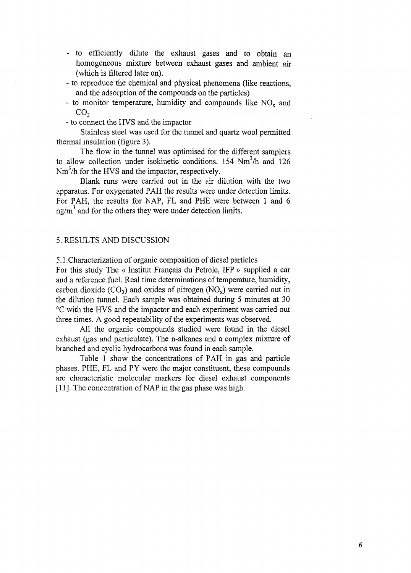- to efficiently dilute the exhaust gases and to obtain an homogeneous mixture between exhaust gases and ambient air (which is filtered later on).
- to reproduce the chemical and physical phenomena (like reactions, and the adsorption of the compounds on the particles)
- to monitor temperature, humidity and compounds like  $NO<sub>x</sub>$  and CO<sub>2</sub>
- to connect the HVS and the impactor

Stainless steel was used for the tunnel and quartz wool permitted thermal insulation (figure 3).

The flow in the tunnel was optimised for the different samplers to allow collection under isokinetic conditions. 154 Nm<sup>3</sup>/h and 126  $Nm<sup>3</sup>/h$  for the HVS and the impactor, respectively.

Blank runs were carried out in the air dilution with the two apparatus. For oxygenated PAH the results were under detection limits. For PAH, the results for NAP, FL and PHE were between 1 and 6 ng/m<sup>3</sup> and for the others they were under detection limits.

### 5. RESULTS AND DISCUSSION

5.1.Characterization of organic composition of diesel particles

For this study The « Institut Français du Pétrole, IFP » supplied a car and a reference fuel. Real time determinations of temperature, humidity, carbon dioxide  $(CO_2)$  and oxides of nitrogen  $(NO_x)$  were carried out in the dilution tunnel. Each sample was obtained during 5 minutes at 30 °C with the HVS and the impactor and each experiment was carried out three times. A good repeatability of the experiments was observed.

All the organic compounds studied were found in the diesel exhaust (gas and particulate). The n-alkanes and a complex mixture of branched and cyclic hydrocarbons was found in each sample.

Table 1 show the concentrations of PAH in gas and particle phases. PHE, FL and PY were the major constituent, these compounds are characteristic molecular markers for diesel exhaust components [11]. The concentration of NAP in the gas phase was high.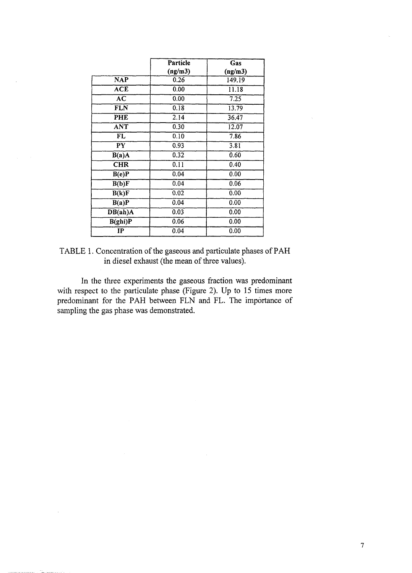|                          | Particle<br>Gas |         |
|--------------------------|-----------------|---------|
|                          | (ng/m3)         | (ng/m3) |
| <b>NAP</b>               | 0.26            | 149.19  |
| <b>ACE</b>               | 0.00            | 11.18   |
| ÄC                       | 0.00            | 7.25    |
| <b>FLN</b>               | 0.18            | 13.79   |
| PHE                      | 2.14            | 36.47   |
| <b>ANT</b>               | 0.30            | 12.07   |
| $\overline{\mathbf{FL}}$ | 0.10            | 7.86    |
| $\overline{\mathbf{PY}}$ | 0.93            | 3.81    |
| B(a)A                    | 0.32            | 0.60    |
| <b>CHR</b>               | 0.11            | 0.40    |
| B(e)P                    | 0.04            | 0.00    |
| B(b)F                    | 0.04            | 0.06    |
| B(k)F                    | 0.02            | 0.00    |
| B(a)P                    | 0.04            | 0.00    |
| DB(ah)A                  | 0.03            | 0.00    |
| B(ghi)P                  | 0.06            | 0.00    |
| IP                       | 0.04            | 0.00    |

TABLE 1. Concentration of the gaseous and particulate phases of PAH in diesel exhaust (the mean of three values).

In the three experiments the gaseous fraction was predominant with respect to the particulate phase (Figure 2). Up to 15 times more predominant for the PAH between FLN and FL. The importance of sampling the gas phase was demonstrated.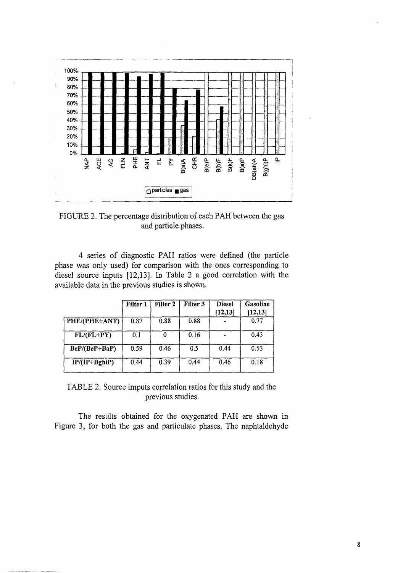

FIGURE 2. The percentage distribution of each PAH between the gas and particle phases.

4 series of diagnostic PAH ratios were defined (the particle phase was only used) for comparison with the ones corresponding to diesel source inputs [12,13]. In Table 2 a good correlation with the available data in the previous studies is shown.

|                 | Filter 1 | Filter 2 | Filter 3 | <b>Diesel</b><br>[12, 13] | Gasoline<br>[12, 13] |
|-----------------|----------|----------|----------|---------------------------|----------------------|
| PHE/(PHE+ANT)   | 0.87     | 0.88     | 0.88     |                           | 0.77                 |
| $FL/(FL+PY)$    | 0.1      | 0        | 0.16     |                           | 0.43                 |
| BeP/(BeP+BaP)   | 0.59     | 0.46     | 0.5      | 0.44                      | 0.53                 |
| $IP/(IP+BghiP)$ | 0.44     | 0.39     | 0.44     | 0.46                      | 0.18                 |

TABLE 2. Source imputs correlation ratios for this study and the previous studies.

The results obtained for the oxygenated PAH are shown in Figure 3, for both the gas and particulate phases. The naphtaldehyde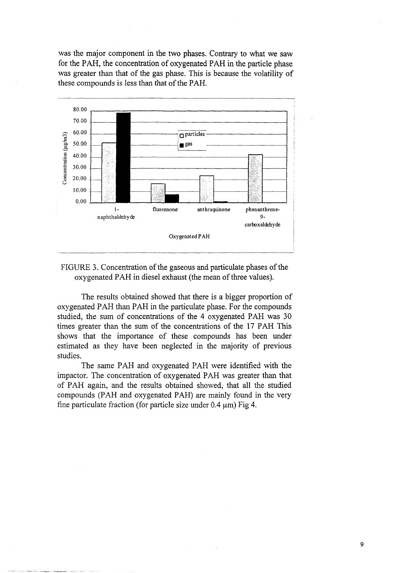was the major component in the two phases. Contrary to what we saw for the PAH, the concentration of oxygenated PAH in the particle phase was greater than that of the gas phase. This is because the volatility of these compounds is less than that of the PAH.



FIGURE 3. Concentration of the gaseous and particulate phases of the oxygenated PAH in diesel exhaust (the mean of three values).

The results obtained showed that there is a bigger proportion of oxygenated PAH than PAH in the particulate phase. For the compounds studied, the sum of concentrations of the 4 oxygenated PAH was 30 times greater than the sum of the concentrations of the 17 PAH This shows that the importance of these compounds has been under estimated as they have been neglected in the majority of previous studies.

The same PAH and oxygenated PAH were identified with the impactor. The concentration of oxygenated PAH was greater than that of PAH again, and the results obtained showed, that all the studied compounds (PAH and oxygenated PAH) are mainly found in the very fine particulate fraction (for particle size under 0.4 *urn)* Fig 4.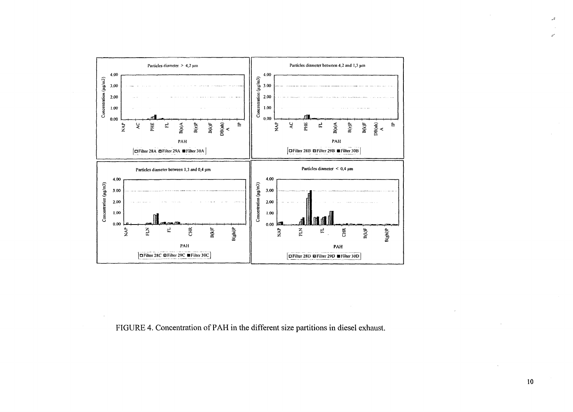

FIGURE 4. Concentration of PAH in the different size partitions in diesel exhaust.

 $\mathcal{L}$ 

 $\mathcal{L}$ 

 $\omega^*$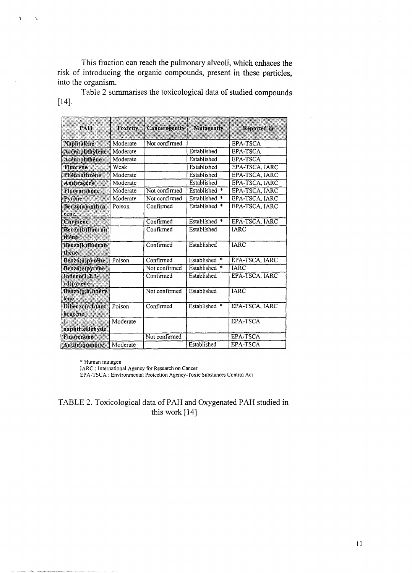This fraction can reach the pulmonary alveoli, which enhaces the risk of introducing the organic compounds, present in these particles, into the organism.

Table 2 summarises the toxicological data of studied compounds [14].

| PAH                        | Toxicity | Cancerogenity | Mutagenity                   | Reported in    |
|----------------------------|----------|---------------|------------------------------|----------------|
| Naphtalene                 | Moderate | Not confirmed |                              | EPA-TSCA       |
| Acenaphthylene             | Moderate |               | Established                  | EPA-TSCA       |
| Acénaphthène               | Moderate |               | Established                  | EPA-TSCA       |
| Fluorène                   | Weak     |               | Established                  | EPA-TSCA, IARC |
| Phénanthrène               | Moderate |               | Established                  | EPA-TSCA, IARC |
| Anthracene                 | Moderate |               | Established                  | EPA-TSCA, IARC |
| Fluoranthène               | Moderate | Not confirmed | Established<br>*             | EPA-TSCA, IARC |
| Pyrène                     | Moderate | Not confirmed | Established<br>$\ast$        | EPA-TSCA, IARC |
| Benzo(a)anthra<br>cène     | Poison   | Confirmed     | Established<br>$\frac{1}{2}$ | EPA-TSCA, IARC |
| Chrysène                   |          | Confirmed     | Established *                | EPA-TSCA, IARC |
| Benzo(b)fluoran<br>thene   |          | Confirmed     | Established                  | <b>IARC</b>    |
| Benzo(k)fluoran<br>thene   |          | Confirmed     | Established                  | <b>IARC</b>    |
| Benzo(a)pyrene             | Poison   | Confirmed     | Established<br>$\ast$        | EPA-TSCA, IARC |
| <b>Benzo(e)pyrene</b>      |          | Not confirmed | Established<br>*             | <b>JARC</b>    |
| Indeno(1,2,3-<br>cd)pvrene |          | Confirmed     | Established                  | EPA-TSCA, IARC |
| Benzo(g,h,i)pérv<br>lène   |          | Not confirmed | Established                  | <b>IARC</b>    |
| Dibenzo(a,h)ant<br>hracène | Poison   | Confirmed     | Established *                | EPA-TSCA, IARC |
| ïЗ<br>naphthaidehyde       | Moderate |               |                              | EPA-TSCA       |
| Fluorenone                 |          | Not confirmed |                              | EPA-TSCA       |
| Anthraquinone              | Moderate |               | Established                  | EPA-TSCA       |

\* Human mutagen

Ń.

IARC : International Agency for Research on Cancer

EPA-TSCA : Environmental Protection Agency-Toxic Substances Control Act

TABLE 2. Toxicological data of PAH and Oxygenated PAH studied in this work [14]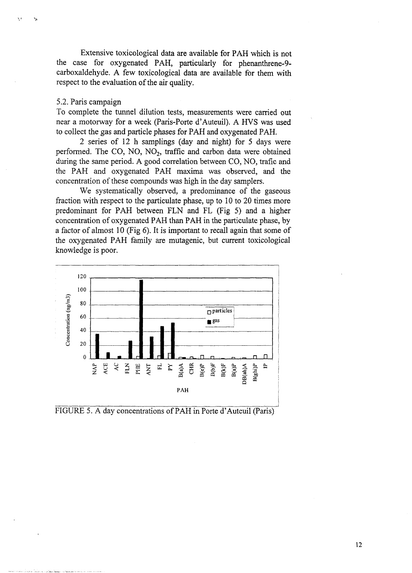Extensive toxicological data are available for PAH which is not the case for oxygenated PAH, particularly for phenanthrene-9 carboxaldehyde. A few toxicological data are available for them with respect to the evaluation of the air quality.

#### 5.2. Paris campaign

To complete the tunnel dilution tests, measurements were carried out near a motorway for a week (Paris-Porte d'Auteuil). A HVS was used to collect the gas and particle phases for PAH and oxygenated PAH.

2 series of 12 h samplings (day and night) for 5 days were performed. The CO, NO,  $NO<sub>2</sub>$ , traffic and carbon data were obtained during the same period. A good correlation between CO, NO, trafic and the PAH and oxygenated PAH maxima was observed, and the concentration of these compounds was high in the day samplers.

We systematically observed, a predominance of the gaseous fraction with respect to the particulate phase, up to 10 to 20 times more predominant for PAH between FLN and FL (Fig 5) and a higher concentration of oxygenated PAH than PAH in the particulate phase, by a factor of almost 10 (Fig 6). It is important to recall again that some of the oxygenated PAH family are mutagenic, but current toxicological knowledge is poor.



• FIGURE 5. A day concentrations of PAH in Porte d'Auteuil (Paris)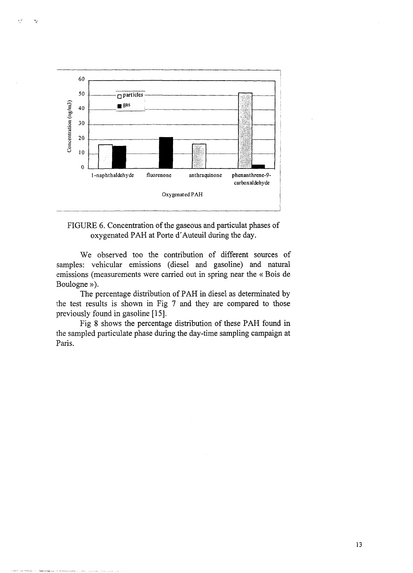

ξē

 $\mathbf{P}_\mathcal{E}$ 

## FIGURE 6. Concentration of the gaseous and particulat phases of oxygenated PAH at Porte d'Auteuil during the day.

We observed too the contribution of different sources of samples: vehicular emissions (diesel and gasoline) and natural emissions (measurements were carried out in spring near the « Bois de Boulogne »).

The percentage distribution of PAH in diesel as determinated by the test results is shown in Fig 7 and they are compared to those previously found in gasoline [15].

Fig 8 shows the percentage distribution of these PAH found in the sampled particulate phase during the day-time sampling campaign at Paris.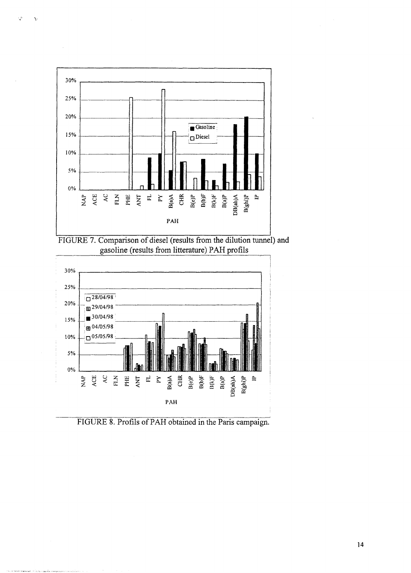

۰,

 $\mathbf{v}$ 





FIGURE 8. Profils of PAH obtained in the Paris campaign.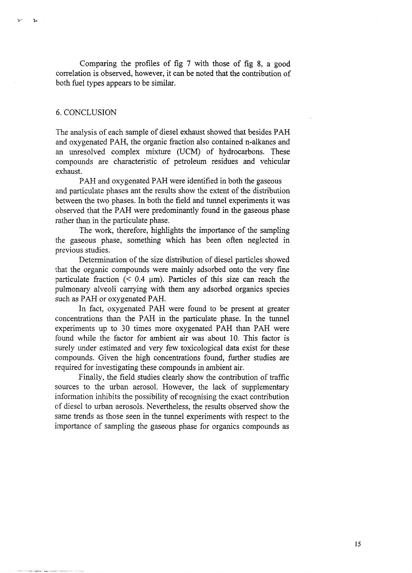Comparing the profiles of fig 7 with those of fig 8, a good correlation is observed, however, it can be noted that the contribution of both fuel types appears to be similar.

### 6. CONCLUSION

ky (r

 $\mathbf{1}_{\mathbf{A}}$ 

The analysis of each sample of diesel exhaust showed that besides PAH and oxygenated PAH, the organic fraction also contained n-alkanes and an unresolved complex mixture (UCM) of hydrocarbons. These compounds are characteristic of petroleum residues and vehicular exhaust.

PAH and oxygenated PAH were identified in both the gaseous and particulate phases ant the results show the extent of the distribution between the two phases. In both the field and tunnel experiments it was observed that the PAH were predominantly found in the gaseous phase rather than in the particulate phase.

The work, therefore, highlights the importance of the sampling the gaseous phase, something which has been often neglected in previous studies.

Determination of the size distribution of diesel particles showed that the organic compounds were mainly adsorbed onto the very fine particulate fraction  $(< 0.4 \mu m)$ . Particles of this size can reach the pulmonary alveoli carrying with them any adsorbed organics species such as PAH or oxygenated PAH.

In fact, oxygenated PAH were found to be present at greater concentrations than the PAH in the particulate phase. In the tunnel experiments up to 30 times more oxygenated PAH than PAH were found while the factor for ambient air was about 10. This factor is surely under estimated and very few toxicological data exist for these compounds. Given the high concentrations found, further studies are required for investigating these compounds in ambient air.

Finally, the field studies clearly show the contribution of traffic sources to the urban aerosol. However, the lack of supplementary information inhibits the possibility of recognising the exact contribution of diesel to urban aerosols. Nevertheless, the results observed show the same trends as those seen in the tunnel experiments with respect to the importance of sampling the gaseous phase for organics compounds as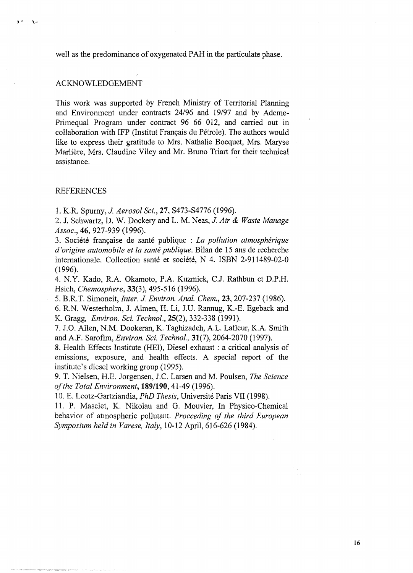well as the predominance of oxygenated PAH in the particulate phase.

#### ACKNOWLEDGEMENT

 $\mathbf{A}$ 

This work was supported by French Ministry of Territorial Planning and Environment under contracts 24/96 and 19/97 and by Ademe-Primequal Program under contract 96 66 012, and carried out in collaboration with IFP (Institut Français du Pétrole). The authors would like to express their gratitude to Mrs. Nathalie Bocquet, Mrs. Maryse Marlière, Mrs. Claudine Viley and Mr. Bruno Triart for their technical assistance.

#### REFERENCES

1. K.R. Spumy, *J. Aerosol ScL,* 27, S473-S4776 (1996).

2. J. Schwartz, D. W. Dockery and L. M. Neas, *J. Air & Waste Manage Assoc,* 46, 927-939 (1996).

3. Société française de santé publique : *La pollution atmosphérique d'origine automobile et la santé publique.* Bilan de 15 ans de recherche internationale. Collection santé et société, N 4. ISBN 2-911489-02-0 (1996).

4. N.Y. Kado, R.A. Okamoto, P.A. Kuzmick, C.J. Rathbun et D.P.H. Hsieh, *Chemosphere,* 33(3), 495-516 (1996).

5. B.R.T. Simoneit, *Inter. J. Environ. Anal. Chem.,* 23,207-237 (1986).

6. R.N. Westerholm, J. Almen, H. Li, J.U. Rannug, K.-E. Egeback and K. Gragg, *Environ. Sci. TechnoL,* 25(2), 332-338 (1991).

7. J.O. Allen, N.M. Dookeran, K. Taghizadeh, A.L. Lafleur, K.A. Smith and A.F. Sarofim, *Environ. Sci. TechnoL,* 31(7), 2064-2070 (1997).

8. Health Effects Institute (HEI), Diesel exhaust : a critical analysis of emissions, exposure, and health effects. A special report of the institute's diesel working group (1995).

9. T. Nielsen, H.E. Jorgensen, J.C. Larsen and M. Poulsen, *The Science of the Total Environment,* **189/190,**41-49 (1996).

10. E. Leotz-Gartziandia, *PhD Thesis,* Université Paris VII (1998).

11. P. Masclet, K. Nikolau and G. Mouvier, In Physico-Chemical behavior of atmospheric pollutant. *Proceeding of the third European Symposium held in Varese, Italy,* 10-12 April, 616-626 (1984).